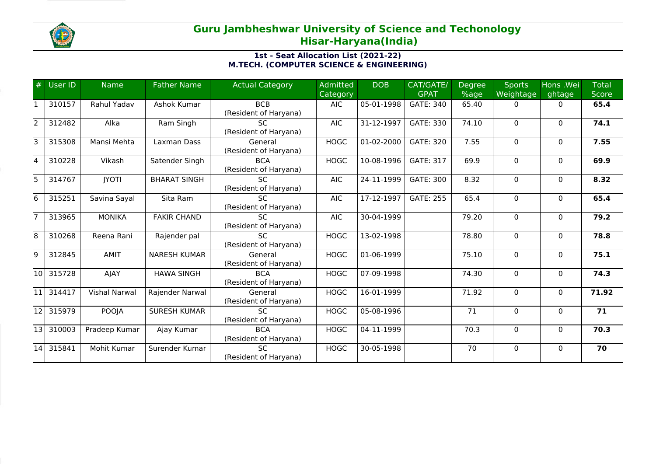

## **Guru Jambheshwar University of Science and Techonology Hisar-Haryana(India)**

## **1st - Seat Allocation List (2021-22) M.TECH. (COMPUTER SCIENCE & ENGINEERING)**

| #   | User ID | <b>Name</b>          | <b>Father Name</b>  | <b>Actual Category</b>              | <b>Admitted</b><br>Category | <b>DOB</b> | CAT/GATE/<br><b>GPAT</b> | <b>Degree</b><br>%age | <b>Sports</b><br>Weightage | Hons .Wei<br>ghtage | <b>Total</b><br><b>Score</b> |
|-----|---------|----------------------|---------------------|-------------------------------------|-----------------------------|------------|--------------------------|-----------------------|----------------------------|---------------------|------------------------------|
|     | 310157  | Rahul Yadav          | Ashok Kumar         | <b>BCB</b><br>(Resident of Haryana) | <b>AIC</b>                  | 05-01-1998 | GATE: 340                | 65.40                 | 0                          | $\mathbf{0}$        | 65.4                         |
| l2  | 312482  | Alka                 | Ram Singh           | <b>SC</b><br>(Resident of Haryana)  | <b>AIC</b>                  | 31-12-1997 | GATE: 330                | 74.10                 | $\Omega$                   | $\mathbf{0}$        | 74.1                         |
| l3  | 315308  | Mansi Mehta          | Laxman Dass         | General<br>(Resident of Haryana)    | <b>HOGC</b>                 | 01-02-2000 | <b>GATE: 320</b>         | 7.55                  | $\Omega$                   | $\mathbf{0}$        | 7.55                         |
| l4  | 310228  | Vikash               | Satender Singh      | <b>BCA</b><br>(Resident of Haryana) | <b>HOGC</b>                 | 10-08-1996 | <b>GATE: 317</b>         | 69.9                  | 0                          | $\mathbf{0}$        | 69.9                         |
| l5  | 314767  | <b>IYOTI</b>         | <b>BHARAT SINGH</b> | <b>SC</b><br>(Resident of Haryana)  | <b>AIC</b>                  | 24-11-1999 | <b>GATE: 300</b>         | 8.32                  | $\Omega$                   | $\mathbf{0}$        | 8.32                         |
| l6  | 315251  | Savina Sayal         | Sita Ram            | <b>SC</b><br>(Resident of Haryana)  | <b>AIC</b>                  | 17-12-1997 | <b>GATE: 255</b>         | 65.4                  | $\Omega$                   | $\mathbf{0}$        | 65.4                         |
|     | 313965  | <b>MONIKA</b>        | <b>FAKIR CHAND</b>  | <b>SC</b><br>(Resident of Haryana)  | <b>AIC</b>                  | 30-04-1999 |                          | 79.20                 | $\Omega$                   | $\mathbf{0}$        | 79.2                         |
| 18  | 310268  | Reena Rani           | Rajender pal        | <b>SC</b><br>(Resident of Haryana)  | <b>HOGC</b>                 | 13-02-1998 |                          | 78.80                 | 0                          | $\mathbf{0}$        | 78.8                         |
| l9  | 312845  | <b>AMIT</b>          | <b>NARESH KUMAR</b> | General<br>(Resident of Haryana)    | <b>HOGC</b>                 | 01-06-1999 |                          | 75.10                 | 0                          | $\mathbf{0}$        | 75.1                         |
| 10  | 315728  | AJAY                 | <b>HAWA SINGH</b>   | <b>BCA</b><br>(Resident of Haryana) | <b>HOGC</b>                 | 07-09-1998 |                          | 74.30                 | $\Omega$                   | $\Omega$            | 74.3                         |
| l11 | 314417  | <b>Vishal Narwal</b> | Rajender Narwal     | General<br>(Resident of Haryana)    | <b>HOGC</b>                 | 16-01-1999 |                          | 71.92                 | $\Omega$                   | $\mathbf{0}$        | 71.92                        |
| 12  | 315979  | POOJA                | <b>SURESH KUMAR</b> | <b>SC</b><br>(Resident of Haryana)  | <b>HOGC</b>                 | 05-08-1996 |                          | 71                    | $\Omega$                   | $\mathbf{0}$        | 71                           |
| 13  | 310003  | Pradeep Kumar        | Ajay Kumar          | <b>BCA</b><br>(Resident of Haryana) | <b>HOGC</b>                 | 04-11-1999 |                          | 70.3                  | $\Omega$                   | $\mathbf{0}$        | 70.3                         |
| 14  | 315841  | Mohit Kumar          | Surender Kumar      | SC.<br>(Resident of Haryana)        | <b>HOGC</b>                 | 30-05-1998 |                          | 70                    | $\Omega$                   | $\Omega$            | 70                           |